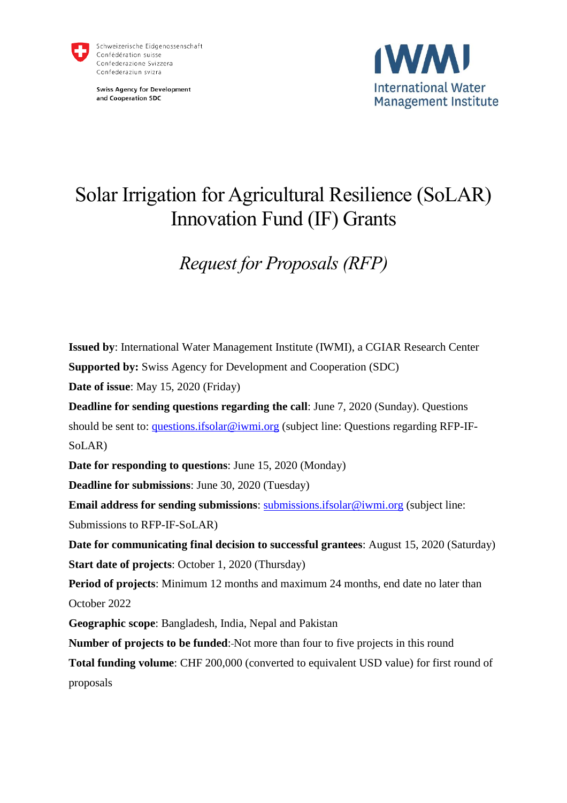

**Swiss Agency for Development** and Cooperation SDC



# Solar Irrigation for Agricultural Resilience (SoLAR) Innovation Fund (IF) Grants

# *Request for Proposals (RFP)*

**Issued by**: International Water Management Institute (IWMI), a CGIAR Research Center **Supported by:** Swiss Agency for Development and Cooperation (SDC) **Date of issue**: May 15, 2020 (Friday) **Deadline for sending questions regarding the call**: June 7, 2020 (Sunday). Questions should be sent to: [questions.ifsolar@iwmi.org](mailto:questions.ifsolar@iwmi.org) (subject line: Questions regarding RFP-IF-SoLAR) **Date for responding to questions**: June 15, 2020 (Monday) **Deadline for submissions**: June 30, 2020 (Tuesday) **Email address for sending submissions**: [submissions.ifsolar@iwmi.org](mailto:submissions.ifsolar@iwmi.org) (subject line: Submissions to RFP-IF-SoLAR) **Date for communicating final decision to successful grantees**: August 15, 2020 (Saturday) **Start date of projects**: October 1, 2020 (Thursday) **Period of projects**: Minimum 12 months and maximum 24 months, end date no later than October 2022 **Geographic scope**: Bangladesh, India, Nepal and Pakistan **Number of projects to be funded:** Not more than four to five projects in this round **Total funding volume**: CHF 200,000 (converted to equivalent USD value) for first round of proposals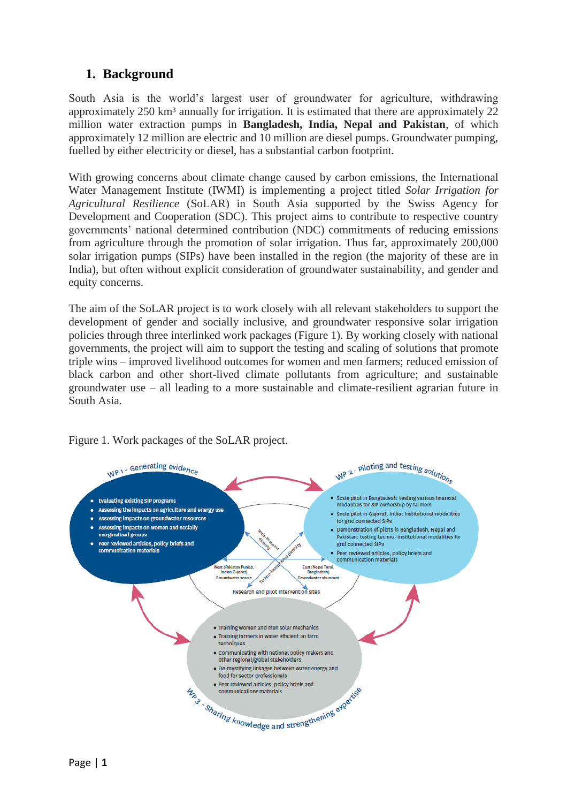## **1. Background**

South Asia is the world's largest user of groundwater for agriculture, withdrawing approximately 250 km<sup>3</sup> annually for irrigation. It is estimated that there are approximately 22 million water extraction pumps in **Bangladesh, India, Nepal and Pakistan**, of which approximately 12 million are electric and 10 million are diesel pumps. Groundwater pumping, fuelled by either electricity or diesel, has a substantial carbon footprint.

With growing concerns about climate change caused by carbon emissions, the International Water Management Institute (IWMI) is implementing a project titled *Solar Irrigation for Agricultural Resilience* (SoLAR) in South Asia supported by the Swiss Agency for Development and Cooperation (SDC). This project aims to contribute to respective country governments' national determined contribution (NDC) commitments of reducing emissions from agriculture through the promotion of solar irrigation. Thus far, approximately 200,000 solar irrigation pumps (SIPs) have been installed in the region (the majority of these are in India), but often without explicit consideration of groundwater sustainability, and gender and equity concerns.

The aim of the SoLAR project is to work closely with all relevant stakeholders to support the development of gender and socially inclusive, and groundwater responsive solar irrigation policies through three interlinked work packages (Figure 1). By working closely with national governments, the project will aim to support the testing and scaling of solutions that promote triple wins – improved livelihood outcomes for women and men farmers; reduced emission of black carbon and other short-lived climate pollutants from agriculture; and sustainable groundwater use – all leading to a more sustainable and climate-resilient agrarian future in South Asia.



Figure 1. Work packages of the SoLAR project.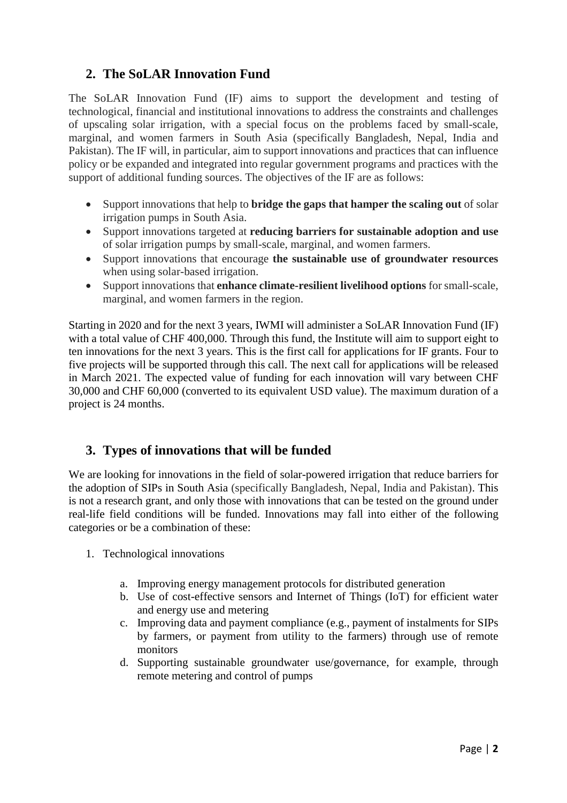## **2. The SoLAR Innovation Fund**

The SoLAR Innovation Fund (IF) aims to support the development and testing of technological, financial and institutional innovations to address the constraints and challenges of upscaling solar irrigation, with a special focus on the problems faced by small-scale, marginal, and women farmers in South Asia (specifically Bangladesh, Nepal, India and Pakistan). The IF will, in particular, aim to support innovations and practices that can influence policy or be expanded and integrated into regular government programs and practices with the support of additional funding sources. The objectives of the IF are as follows:

- Support innovations that help to **bridge the gaps that hamper the scaling out** of solar irrigation pumps in South Asia.
- Support innovations targeted at **reducing barriers for sustainable adoption and use** of solar irrigation pumps by small-scale, marginal, and women farmers.
- Support innovations that encourage **the sustainable use of groundwater resources** when using solar-based irrigation.
- Support innovations that **enhance climate-resilient livelihood options** for small-scale, marginal, and women farmers in the region.

Starting in 2020 and for the next 3 years, IWMI will administer a SoLAR Innovation Fund (IF) with a total value of CHF 400,000. Through this fund, the Institute will aim to support eight to ten innovations for the next 3 years. This is the first call for applications for IF grants. Four to five projects will be supported through this call. The next call for applications will be released in March 2021. The expected value of funding for each innovation will vary between CHF 30,000 and CHF 60,000 (converted to its equivalent USD value). The maximum duration of a project is 24 months.

## **3. Types of innovations that will be funded**

We are looking for innovations in the field of solar-powered irrigation that reduce barriers for the adoption of SIPs in South Asia (specifically Bangladesh, Nepal, India and Pakistan). This is not a research grant, and only those with innovations that can be tested on the ground under real-life field conditions will be funded. Innovations may fall into either of the following categories or be a combination of these:

- 1. Technological innovations
	- a. Improving energy management protocols for distributed generation
	- b. Use of cost-effective sensors and Internet of Things (IoT) for efficient water and energy use and metering
	- c. Improving data and payment compliance (e.g., payment of instalments for SIPs by farmers, or payment from utility to the farmers) through use of remote monitors
	- d. Supporting sustainable groundwater use/governance, for example, through remote metering and control of pumps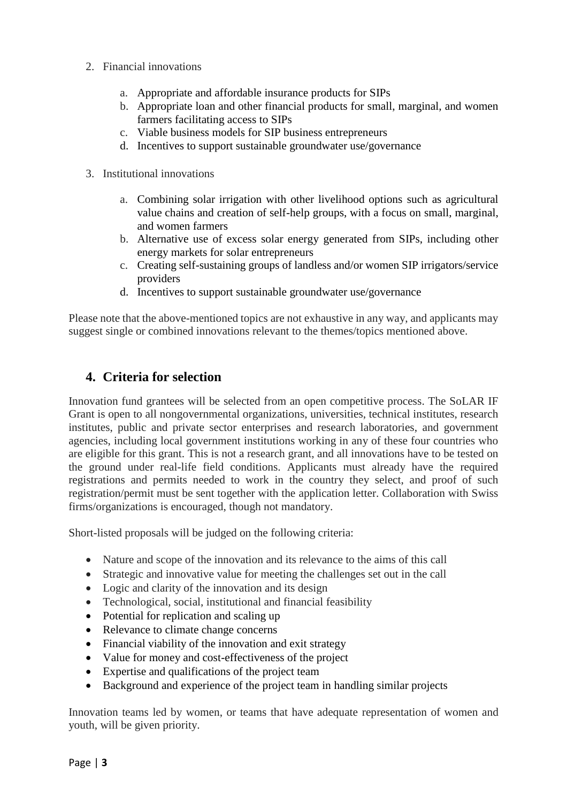- 2. Financial innovations
	- a. Appropriate and affordable insurance products for SIPs
	- b. Appropriate loan and other financial products for small, marginal, and women farmers facilitating access to SIPs
	- c. Viable business models for SIP business entrepreneurs
	- d. Incentives to support sustainable groundwater use/governance
- 3. Institutional innovations
	- a. Combining solar irrigation with other livelihood options such as agricultural value chains and creation of self-help groups, with a focus on small, marginal, and women farmers
	- b. Alternative use of excess solar energy generated from SIPs, including other energy markets for solar entrepreneurs
	- c. Creating self-sustaining groups of landless and/or women SIP irrigators/service providers
	- d. Incentives to support sustainable groundwater use/governance

Please note that the above-mentioned topics are not exhaustive in any way, and applicants may suggest single or combined innovations relevant to the themes/topics mentioned above.

# **4. Criteria for selection**

Innovation fund grantees will be selected from an open competitive process. The SoLAR IF Grant is open to all nongovernmental organizations, universities, technical institutes, research institutes, public and private sector enterprises and research laboratories, and government agencies, including local government institutions working in any of these four countries who are eligible for this grant. This is not a research grant, and all innovations have to be tested on the ground under real-life field conditions. Applicants must already have the required registrations and permits needed to work in the country they select, and proof of such registration/permit must be sent together with the application letter. Collaboration with Swiss firms/organizations is encouraged, though not mandatory.

Short-listed proposals will be judged on the following criteria:

- Nature and scope of the innovation and its relevance to the aims of this call
- Strategic and innovative value for meeting the challenges set out in the call
- Logic and clarity of the innovation and its design
- Technological, social, institutional and financial feasibility
- Potential for replication and scaling up
- Relevance to climate change concerns
- Financial viability of the innovation and exit strategy
- Value for money and cost-effectiveness of the project
- Expertise and qualifications of the project team
- Background and experience of the project team in handling similar projects

Innovation teams led by women, or teams that have adequate representation of women and youth, will be given priority.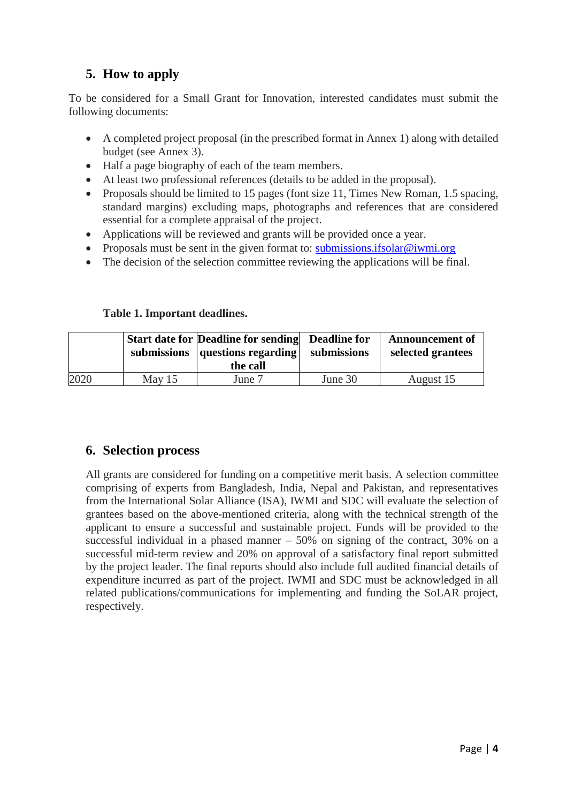# **5. How to apply**

To be considered for a Small Grant for Innovation, interested candidates must submit the following documents:

- A completed project proposal (in the prescribed format in Annex 1) along with detailed budget (see Annex 3).
- Half a page biography of each of the team members.
- At least two professional references (details to be added in the proposal).
- Proposals should be limited to 15 pages (font size 11, Times New Roman, 1.5 spacing, standard margins) excluding maps, photographs and references that are considered essential for a complete appraisal of the project.
- Applications will be reviewed and grants will be provided once a year.
- Proposals must be sent in the given format to: [submissions.ifsolar@iwmi.org](mailto:submissions.ifsolar@cgiar.org)
- The decision of the selection committee reviewing the applications will be final.

#### **Table 1. Important deadlines.**

|      |          | Start date for Deadline for sending Deadline for<br>submissions   questions regarding  <br>the call | submissions | <b>Announcement of</b><br>selected grantees |
|------|----------|-----------------------------------------------------------------------------------------------------|-------------|---------------------------------------------|
| 2020 | May $15$ | June 7                                                                                              | June 30     | August 15                                   |

### **6. Selection process**

All grants are considered for funding on a competitive merit basis. A selection committee comprising of experts from Bangladesh, India, Nepal and Pakistan, and representatives from the International Solar Alliance (ISA), IWMI and SDC will evaluate the selection of grantees based on the above-mentioned criteria, along with the technical strength of the applicant to ensure a successful and sustainable project. Funds will be provided to the successful individual in a phased manner – 50% on signing of the contract, 30% on a successful mid-term review and 20% on approval of a satisfactory final report submitted by the project leader. The final reports should also include full audited financial details of expenditure incurred as part of the project. IWMI and SDC must be acknowledged in all related publications/communications for implementing and funding the SoLAR project, respectively.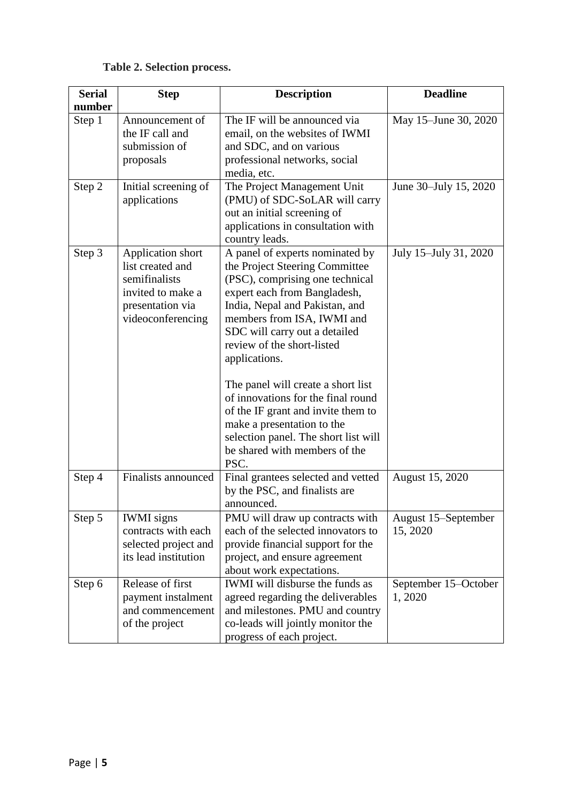# **Table 2. Selection process.**

| <b>Serial</b> | <b>Step</b>                                                                                                          | <b>Description</b>                                                                                                                                                                                                                                                                                                                                                                                                                                                                                                    | <b>Deadline</b>                 |
|---------------|----------------------------------------------------------------------------------------------------------------------|-----------------------------------------------------------------------------------------------------------------------------------------------------------------------------------------------------------------------------------------------------------------------------------------------------------------------------------------------------------------------------------------------------------------------------------------------------------------------------------------------------------------------|---------------------------------|
| number        |                                                                                                                      |                                                                                                                                                                                                                                                                                                                                                                                                                                                                                                                       |                                 |
| Step 1        | Announcement of<br>the IF call and<br>submission of<br>proposals                                                     | The IF will be announced via<br>email, on the websites of IWMI<br>and SDC, and on various<br>professional networks, social<br>media, etc.                                                                                                                                                                                                                                                                                                                                                                             | May 15–June 30, 2020            |
| Step 2        | Initial screening of<br>applications                                                                                 | The Project Management Unit<br>(PMU) of SDC-SoLAR will carry<br>out an initial screening of<br>applications in consultation with<br>country leads.                                                                                                                                                                                                                                                                                                                                                                    | June 30–July 15, 2020           |
| Step 3        | Application short<br>list created and<br>semifinalists<br>invited to make a<br>presentation via<br>videoconferencing | A panel of experts nominated by<br>the Project Steering Committee<br>(PSC), comprising one technical<br>expert each from Bangladesh,<br>India, Nepal and Pakistan, and<br>members from ISA, IWMI and<br>SDC will carry out a detailed<br>review of the short-listed<br>applications.<br>The panel will create a short list<br>of innovations for the final round<br>of the IF grant and invite them to<br>make a presentation to the<br>selection panel. The short list will<br>be shared with members of the<br>PSC. | July 15-July 31, 2020           |
| Step 4        | <b>Finalists announced</b>                                                                                           | Final grantees selected and vetted<br>by the PSC, and finalists are<br>announced.                                                                                                                                                                                                                                                                                                                                                                                                                                     | August 15, 2020                 |
| Step 5        | <b>IWMI</b> signs<br>contracts with each<br>selected project and<br>its lead institution                             | PMU will draw up contracts with<br>each of the selected innovators to<br>provide financial support for the<br>project, and ensure agreement<br>about work expectations.                                                                                                                                                                                                                                                                                                                                               | August 15–September<br>15, 2020 |
| Step 6        | Release of first<br>payment instalment<br>and commencement<br>of the project                                         | <b>IWMI</b> will disburse the funds as<br>agreed regarding the deliverables<br>and milestones. PMU and country<br>co-leads will jointly monitor the<br>progress of each project.                                                                                                                                                                                                                                                                                                                                      | September 15-October<br>1, 2020 |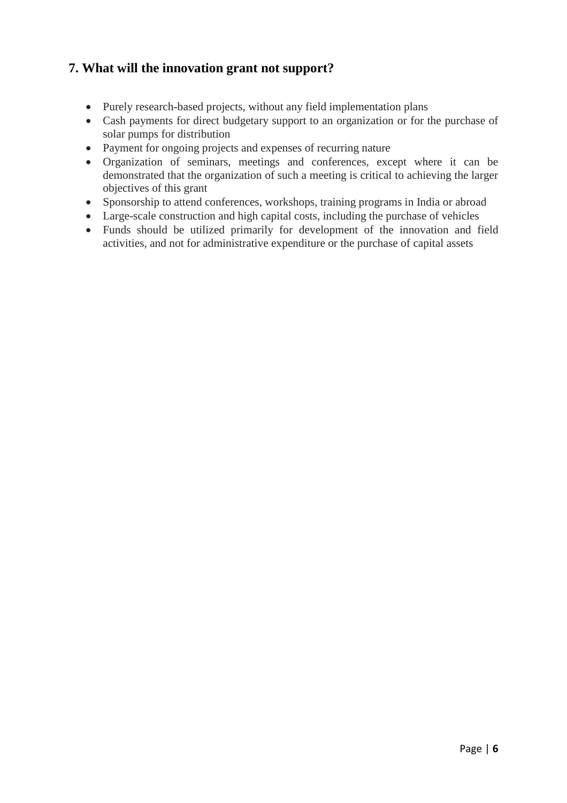# **7. What will the innovation grant not support?**

- Purely research-based projects, without any field implementation plans
- Cash payments for direct budgetary support to an organization or for the purchase of solar pumps for distribution
- Payment for ongoing projects and expenses of recurring nature
- Organization of seminars, meetings and conferences, except where it can be demonstrated that the organization of such a meeting is critical to achieving the larger objectives of this grant
- Sponsorship to attend conferences, workshops, training programs in India or abroad
- Large-scale construction and high capital costs, including the purchase of vehicles
- Funds should be utilized primarily for development of the innovation and field activities, and not for administrative expenditure or the purchase of capital assets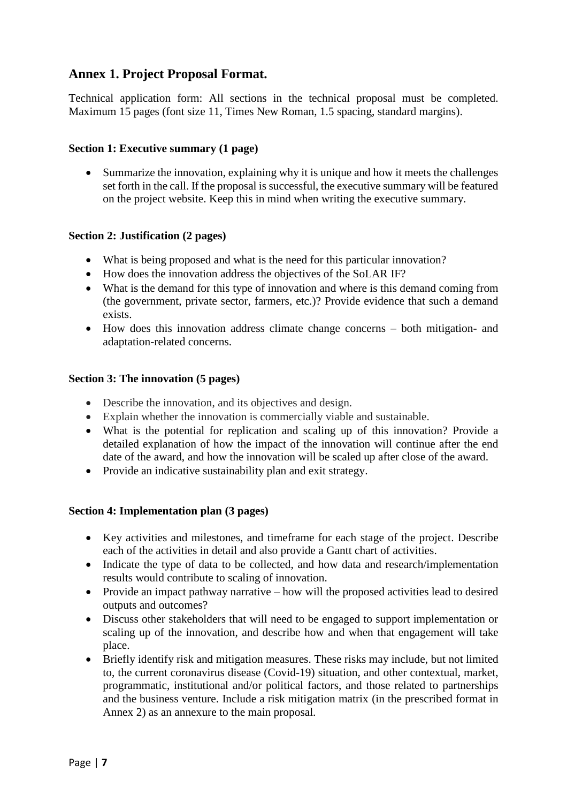### **Annex 1. Project Proposal Format.**

Technical application form: All sections in the technical proposal must be completed. Maximum 15 pages (font size 11, Times New Roman, 1.5 spacing, standard margins).

#### **Section 1: Executive summary (1 page)**

• Summarize the innovation, explaining why it is unique and how it meets the challenges set forth in the call. If the proposal is successful, the executive summary will be featured on the project website. Keep this in mind when writing the executive summary.

#### **Section 2: Justification (2 pages)**

- What is being proposed and what is the need for this particular innovation?
- How does the innovation address the objectives of the SoLAR IF?
- What is the demand for this type of innovation and where is this demand coming from (the government, private sector, farmers, etc.)? Provide evidence that such a demand exists.
- How does this innovation address climate change concerns both mitigation- and adaptation-related concerns.

#### **Section 3: The innovation (5 pages)**

- Describe the innovation, and its objectives and design.
- Explain whether the innovation is commercially viable and sustainable.
- What is the potential for replication and scaling up of this innovation? Provide a detailed explanation of how the impact of the innovation will continue after the end date of the award, and how the innovation will be scaled up after close of the award.
- Provide an indicative sustainability plan and exit strategy.

#### **Section 4: Implementation plan (3 pages)**

- Key activities and milestones, and timeframe for each stage of the project. Describe each of the activities in detail and also provide a Gantt chart of activities.
- Indicate the type of data to be collected, and how data and research/implementation results would contribute to scaling of innovation.
- Provide an impact pathway narrative how will the proposed activities lead to desired outputs and outcomes?
- Discuss other stakeholders that will need to be engaged to support implementation or scaling up of the innovation, and describe how and when that engagement will take place.
- Briefly identify risk and mitigation measures. These risks may include, but not limited to, the current coronavirus disease (Covid-19) situation, and other contextual, market, programmatic, institutional and/or political factors, and those related to partnerships and the business venture. Include a risk mitigation matrix (in the prescribed format in Annex 2) as an annexure to the main proposal.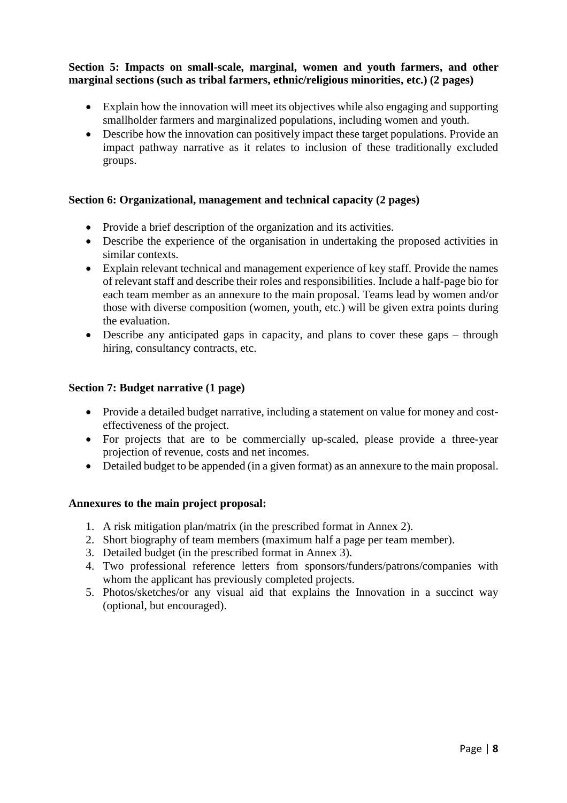#### **Section 5: Impacts on small-scale, marginal, women and youth farmers, and other marginal sections (such as tribal farmers, ethnic/religious minorities, etc.) (2 pages)**

- Explain how the innovation will meet its objectives while also engaging and supporting smallholder farmers and marginalized populations, including women and youth.
- Describe how the innovation can positively impact these target populations. Provide an impact pathway narrative as it relates to inclusion of these traditionally excluded groups.

#### **Section 6: Organizational, management and technical capacity (2 pages)**

- Provide a brief description of the organization and its activities.
- Describe the experience of the organisation in undertaking the proposed activities in similar contexts.
- Explain relevant technical and management experience of key staff. Provide the names of relevant staff and describe their roles and responsibilities. Include a half-page bio for each team member as an annexure to the main proposal. Teams lead by women and/or those with diverse composition (women, youth, etc.) will be given extra points during the evaluation.
- Describe any anticipated gaps in capacity, and plans to cover these gaps through hiring, consultancy contracts, etc.

#### **Section 7: Budget narrative (1 page)**

- Provide a detailed budget narrative, including a statement on value for money and costeffectiveness of the project.
- For projects that are to be commercially up-scaled, please provide a three-year projection of revenue, costs and net incomes.
- Detailed budget to be appended (in a given format) as an annexure to the main proposal.

#### **Annexures to the main project proposal:**

- 1. A risk mitigation plan/matrix (in the prescribed format in Annex 2).
- 2. Short biography of team members (maximum half a page per team member).
- 3. Detailed budget (in the prescribed format in Annex 3).
- 4. Two professional reference letters from sponsors/funders/patrons/companies with whom the applicant has previously completed projects.
- 5. Photos/sketches/or any visual aid that explains the Innovation in a succinct way (optional, but encouraged).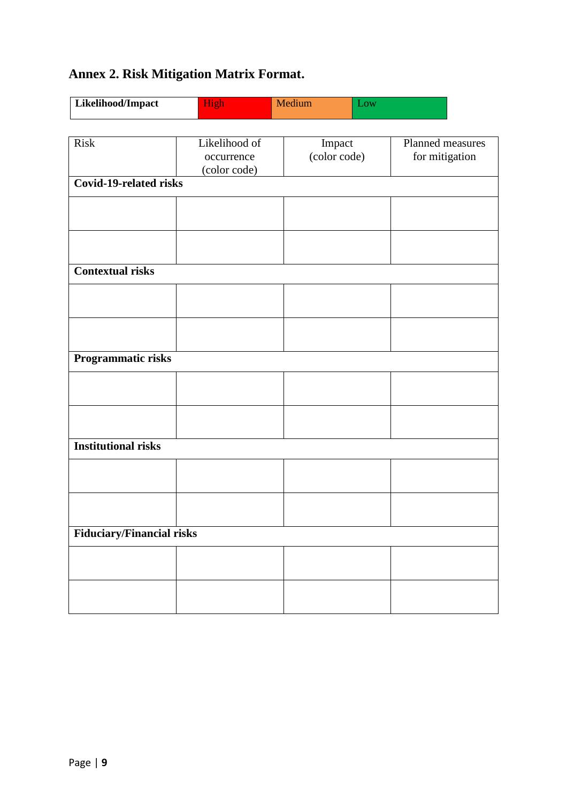# **Annex 2. Risk Mitigation Matrix Format.**

| Likelihood/Impact                | High                                        | Medium                 | Low |                                    |  |
|----------------------------------|---------------------------------------------|------------------------|-----|------------------------------------|--|
|                                  |                                             |                        |     |                                    |  |
| <b>Risk</b>                      | Likelihood of<br>occurrence<br>(color code) | Impact<br>(color code) |     | Planned measures<br>for mitigation |  |
| <b>Covid-19-related risks</b>    |                                             |                        |     |                                    |  |
|                                  |                                             |                        |     |                                    |  |
|                                  |                                             |                        |     |                                    |  |
| <b>Contextual risks</b>          |                                             |                        |     |                                    |  |
|                                  |                                             |                        |     |                                    |  |
|                                  |                                             |                        |     |                                    |  |
| Programmatic risks               |                                             |                        |     |                                    |  |
|                                  |                                             |                        |     |                                    |  |
|                                  |                                             |                        |     |                                    |  |
| <b>Institutional risks</b>       |                                             |                        |     |                                    |  |
|                                  |                                             |                        |     |                                    |  |
|                                  |                                             |                        |     |                                    |  |
| <b>Fiduciary/Financial risks</b> |                                             |                        |     |                                    |  |
|                                  |                                             |                        |     |                                    |  |
|                                  |                                             |                        |     |                                    |  |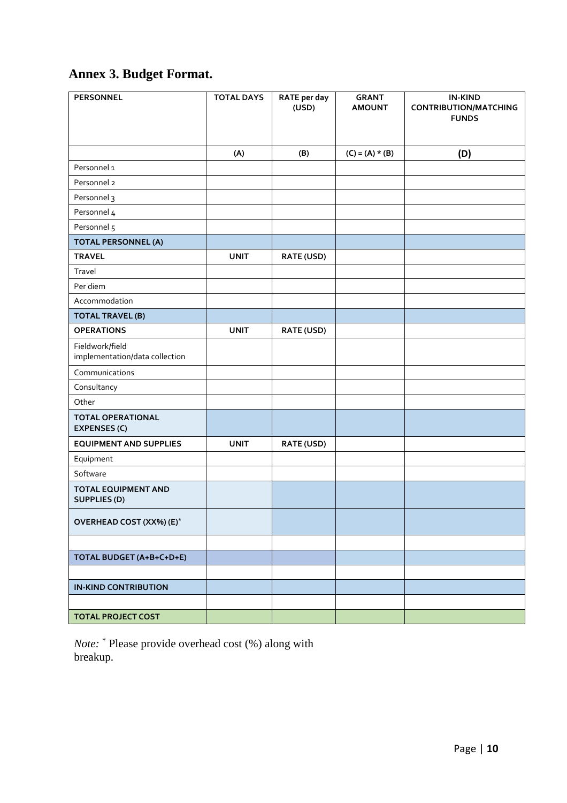# **Annex 3. Budget Format.**

| <b>PERSONNEL</b>                                  | <b>TOTAL DAYS</b> | <b>RATE</b> per day<br>(USD) | <b>GRANT</b><br><b>AMOUNT</b> | <b>IN-KIND</b><br><b>CONTRIBUTION/MATCHING</b><br><b>FUNDS</b> |
|---------------------------------------------------|-------------------|------------------------------|-------------------------------|----------------------------------------------------------------|
|                                                   | (A)               | (B)                          | $(C) = (A) * (B)$             | (D)                                                            |
| Personnel 1                                       |                   |                              |                               |                                                                |
| Personnel 2                                       |                   |                              |                               |                                                                |
| Personnel 3                                       |                   |                              |                               |                                                                |
| Personnel 4                                       |                   |                              |                               |                                                                |
| Personnel 5                                       |                   |                              |                               |                                                                |
| <b>TOTAL PERSONNEL (A)</b>                        |                   |                              |                               |                                                                |
| <b>TRAVEL</b>                                     | <b>UNIT</b>       | <b>RATE (USD)</b>            |                               |                                                                |
| Travel                                            |                   |                              |                               |                                                                |
| Per diem                                          |                   |                              |                               |                                                                |
| Accommodation                                     |                   |                              |                               |                                                                |
| <b>TOTAL TRAVEL (B)</b>                           |                   |                              |                               |                                                                |
| <b>OPERATIONS</b>                                 | <b>UNIT</b>       | <b>RATE (USD)</b>            |                               |                                                                |
| Fieldwork/field<br>implementation/data collection |                   |                              |                               |                                                                |
| Communications                                    |                   |                              |                               |                                                                |
| Consultancy                                       |                   |                              |                               |                                                                |
| Other                                             |                   |                              |                               |                                                                |
| <b>TOTAL OPERATIONAL</b><br><b>EXPENSES (C)</b>   |                   |                              |                               |                                                                |
| <b>EQUIPMENT AND SUPPLIES</b>                     | <b>UNIT</b>       | <b>RATE (USD)</b>            |                               |                                                                |
| Equipment                                         |                   |                              |                               |                                                                |
| Software                                          |                   |                              |                               |                                                                |
| <b>TOTAL EQUIPMENT AND</b><br><b>SUPPLIES (D)</b> |                   |                              |                               |                                                                |
| OVERHEAD COST (XX%) (E)*                          |                   |                              |                               |                                                                |
|                                                   |                   |                              |                               |                                                                |
| TOTAL BUDGET (A+B+C+D+E)                          |                   |                              |                               |                                                                |
|                                                   |                   |                              |                               |                                                                |
| <b>IN-KIND CONTRIBUTION</b>                       |                   |                              |                               |                                                                |
|                                                   |                   |                              |                               |                                                                |
| <b>TOTAL PROJECT COST</b>                         |                   |                              |                               |                                                                |

*Note:* \* Please provide overhead cost (%) along with breakup.